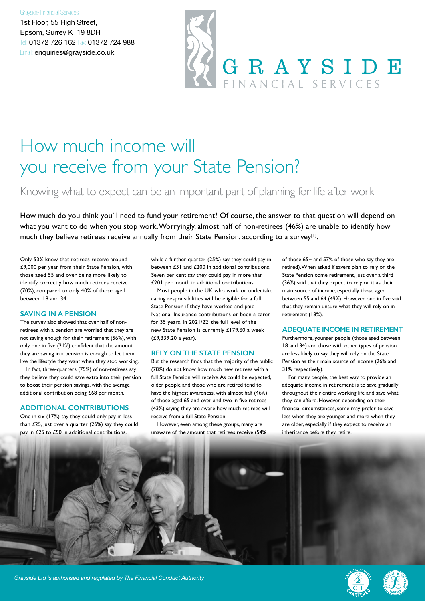#### Grayside Financial Services

1st Floor, 55 High Street, Epsom, Surrey KT19 8DH Tel: 01372 726 162 Fax: 01372 724 988 Email: enquiries@grayside.co.uk



## How much income will you receive from your State Pension?

### Knowing what to expect can be an important part of planning for life after work

How much do you think you'll need to fund your retirement? Of course, the answer to that question will depend on what you want to do when you stop work. Worryingly, almost half of non-retirees (46%) are unable to identify how much they believe retirees receive annually from their State Pension, according to a survey<sup>[1]</sup>.

Only 53% knew that retirees receive around £9,000 per year from their State Pension, with those aged 55 and over being more likely to identify correctly how much retirees receive (70%), compared to only 40% of those aged between 18 and 34.

#### **SAVING IN A PENSION**

The survey also showed that over half of nonretirees with a pension are worried that they are not saving enough for their retirement (56%), with only one in five (21%) confident that the amount they are saving in a pension is enough to let them live the lifestyle they want when they stop working.

In fact, three-quarters (75%) of non-retirees say they believe they could save extra into their pension to boost their pension savings, with the average additional contribution being £68 per month.

#### **ADDITIONAL CONTRIBUTIONS**

One in six (17%) say they could only pay in less than £25, just over a quarter (26%) say they could pay in £25 to £50 in additional contributions,

while a further quarter (25%) say they could pay in between £51 and £200 in additional contributions. Seven per cent say they could pay in more than £201 per month in additional contributions.

Most people in the UK who work or undertake caring responsibilities will be eligible for a full State Pension if they have worked and paid National Insurance contributions or been a carer for 35 years. In 2021/22, the full level of the new State Pension is currently £179.60 a week (£9,339.20 a year).

#### **RELY ON THE STATE PENSION**

But the research finds that the majority of the public (78%) do not know how much new retirees with a full State Pension will receive. As could be expected, older people and those who are retired tend to have the highest awareness, with almost half (46%) of those aged 65 and over and two in five retirees (43%) saying they are aware how much retirees will receive from a full State Pension.

However, even among these groups, many are unaware of the amount that retirees receive (54% of those 65+ and 57% of those who say they are retired). When asked if savers plan to rely on the State Pension come retirement, just over a third (36%) said that they expect to rely on it as their main source of income, especially those aged between 55 and 64 (49%). However, one in five said that they remain unsure what they will rely on in retirement (18%).

#### **ADEQUATE INCOME IN RETIREMENT**

Furthermore, younger people (those aged between 18 and 34) and those with other types of pension are less likely to say they will rely on the State Pension as their main source of income (26% and 31% respectively).

For many people, the best way to provide an adequate income in retirement is to save gradually throughout their entire working life and save what they can afford. However, depending on their financial circumstances, some may prefer to save less when they are younger and more when they are older, especially if they expect to receive an inheritance before they retire.



*Grayside Ltd is authorised and regulated by The Financial Conduct Authority*